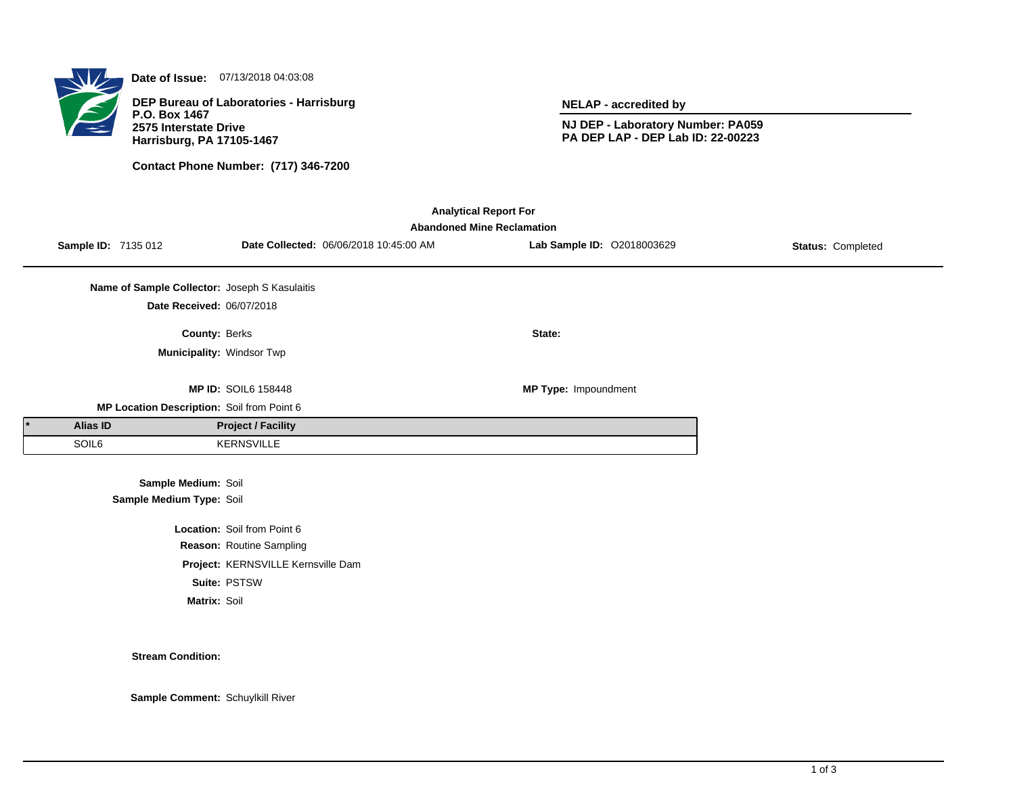

**Date of Issue:** 07/13/2018 04:03:08

**DEP Bureau of Laboratories - Harrisburg P.O. Box 1467 2575 Interstate Drive Harrisburg, PA 17105-1467**

**Contact Phone Number: (717) 346-7200**

**NELAP - accredited by**

**NJ DEP - Laboratory Number: PA059 PA DEP LAP - DEP Lab ID: 22-00223**

| <b>Analytical Report For</b>      |                                               |                                    |                                        |                            |                   |  |  |  |  |
|-----------------------------------|-----------------------------------------------|------------------------------------|----------------------------------------|----------------------------|-------------------|--|--|--|--|
| <b>Abandoned Mine Reclamation</b> |                                               |                                    |                                        |                            |                   |  |  |  |  |
| Sample ID: 7135 012               |                                               |                                    | Date Collected: 06/06/2018 10:45:00 AM | Lab Sample ID: 02018003629 | Status: Completed |  |  |  |  |
|                                   |                                               |                                    |                                        |                            |                   |  |  |  |  |
|                                   | Name of Sample Collector: Joseph S Kasulaitis |                                    |                                        |                            |                   |  |  |  |  |
|                                   | Date Received: 06/07/2018                     |                                    |                                        |                            |                   |  |  |  |  |
|                                   | <b>County: Berks</b>                          |                                    |                                        | State:                     |                   |  |  |  |  |
|                                   | Municipality: Windsor Twp                     |                                    |                                        |                            |                   |  |  |  |  |
|                                   |                                               |                                    |                                        |                            |                   |  |  |  |  |
|                                   |                                               | <b>MP ID: SOIL6 158448</b>         |                                        | MP Type: Impoundment       |                   |  |  |  |  |
|                                   | MP Location Description: Soil from Point 6    |                                    |                                        |                            |                   |  |  |  |  |
| Alias ID                          |                                               | <b>Project / Facility</b>          |                                        |                            |                   |  |  |  |  |
| SOIL6                             |                                               | <b>KERNSVILLE</b>                  |                                        |                            |                   |  |  |  |  |
|                                   |                                               |                                    |                                        |                            |                   |  |  |  |  |
|                                   | Sample Medium: Soil                           |                                    |                                        |                            |                   |  |  |  |  |
|                                   | Sample Medium Type: Soil                      |                                    |                                        |                            |                   |  |  |  |  |
|                                   |                                               | Location: Soil from Point 6        |                                        |                            |                   |  |  |  |  |
|                                   |                                               | Reason: Routine Sampling           |                                        |                            |                   |  |  |  |  |
|                                   |                                               | Project: KERNSVILLE Kernsville Dam |                                        |                            |                   |  |  |  |  |
|                                   |                                               | Suite: PSTSW                       |                                        |                            |                   |  |  |  |  |
|                                   | Matrix: Soil                                  |                                    |                                        |                            |                   |  |  |  |  |
|                                   |                                               |                                    |                                        |                            |                   |  |  |  |  |

**Stream Condition:**

**Sample Comment:** Schuylkill River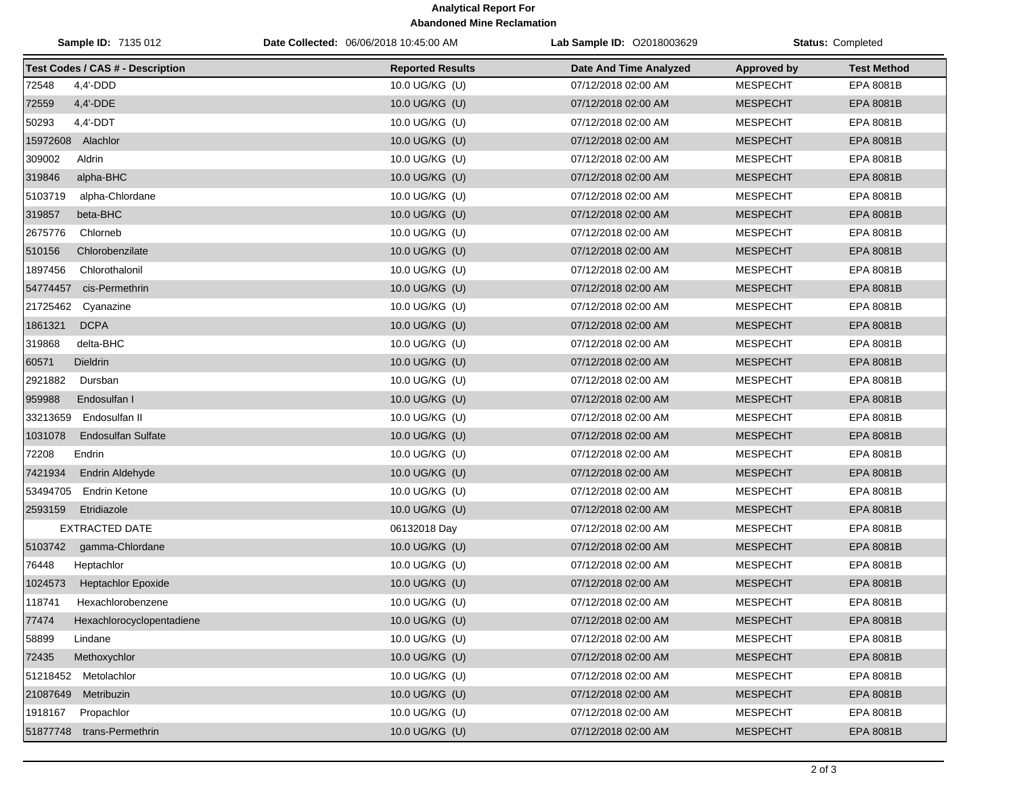## **Analytical Report For Abandoned Mine Reclamation**

| Sample ID: 7135 012                     | Date Collected: 06/06/2018 10:45:00 AM | <b>Lab Sample ID: 02018003629</b> |                    | <b>Status: Completed</b> |
|-----------------------------------------|----------------------------------------|-----------------------------------|--------------------|--------------------------|
| <b>Test Codes / CAS # - Description</b> | <b>Reported Results</b>                | Date And Time Analyzed            | <b>Approved by</b> | <b>Test Method</b>       |
| 72548<br>$4,4'$ -DDD                    | 10.0 UG/KG (U)                         | 07/12/2018 02:00 AM               | <b>MESPECHT</b>    | EPA 8081B                |
| 72559<br>4,4'-DDE                       | 10.0 UG/KG (U)                         | 07/12/2018 02:00 AM               | <b>MESPECHT</b>    | EPA 8081B                |
| 50293<br>$4,4'$ -DDT                    | 10.0 UG/KG (U)                         | 07/12/2018 02:00 AM               | <b>MESPECHT</b>    | <b>EPA 8081B</b>         |
| 15972608 Alachlor                       | 10.0 UG/KG (U)                         | 07/12/2018 02:00 AM               | <b>MESPECHT</b>    | EPA 8081B                |
| 309002<br>Aldrin                        | 10.0 UG/KG (U)                         | 07/12/2018 02:00 AM               | <b>MESPECHT</b>    | EPA 8081B                |
| 319846<br>alpha-BHC                     | 10.0 UG/KG (U)                         | 07/12/2018 02:00 AM               | <b>MESPECHT</b>    | EPA 8081B                |
| 5103719<br>alpha-Chlordane              | 10.0 UG/KG (U)                         | 07/12/2018 02:00 AM               | <b>MESPECHT</b>    | EPA 8081B                |
| 319857<br>beta-BHC                      | 10.0 UG/KG (U)                         | 07/12/2018 02:00 AM               | <b>MESPECHT</b>    | EPA 8081B                |
| 2675776<br>Chlorneb                     | 10.0 UG/KG (U)                         | 07/12/2018 02:00 AM               | <b>MESPECHT</b>    | EPA 8081B                |
| 510156<br>Chlorobenzilate               | 10.0 UG/KG (U)                         | 07/12/2018 02:00 AM               | <b>MESPECHT</b>    | EPA 8081B                |
| 1897456<br>Chlorothalonil               | 10.0 UG/KG (U)                         | 07/12/2018 02:00 AM               | <b>MESPECHT</b>    | EPA 8081B                |
| cis-Permethrin<br>54774457              | 10.0 UG/KG (U)                         | 07/12/2018 02:00 AM               | <b>MESPECHT</b>    | EPA 8081B                |
| 21725462<br>Cyanazine                   | 10.0 UG/KG (U)                         | 07/12/2018 02:00 AM               | <b>MESPECHT</b>    | EPA 8081B                |
| 1861321<br><b>DCPA</b>                  | 10.0 UG/KG (U)                         | 07/12/2018 02:00 AM               | <b>MESPECHT</b>    | EPA 8081B                |
| 319868<br>delta-BHC                     | 10.0 UG/KG (U)                         | 07/12/2018 02:00 AM               | <b>MESPECHT</b>    | EPA 8081B                |
| 60571<br><b>Dieldrin</b>                | 10.0 UG/KG (U)                         | 07/12/2018 02:00 AM               | <b>MESPECHT</b>    | EPA 8081B                |
| 2921882<br>Dursban                      | 10.0 UG/KG (U)                         | 07/12/2018 02:00 AM               | <b>MESPECHT</b>    | EPA 8081B                |
| 959988<br>Endosulfan I                  | 10.0 UG/KG (U)                         | 07/12/2018 02:00 AM               | <b>MESPECHT</b>    | EPA 8081B                |
| 33213659<br>Endosulfan II               | 10.0 UG/KG (U)                         | 07/12/2018 02:00 AM               | <b>MESPECHT</b>    | EPA 8081B                |
| 1031078<br><b>Endosulfan Sulfate</b>    | 10.0 UG/KG (U)                         | 07/12/2018 02:00 AM               | <b>MESPECHT</b>    | EPA 8081B                |
| 72208<br>Endrin                         | 10.0 UG/KG (U)                         | 07/12/2018 02:00 AM               | <b>MESPECHT</b>    | EPA 8081B                |
| 7421934<br><b>Endrin Aldehyde</b>       | 10.0 UG/KG (U)                         | 07/12/2018 02:00 AM               | <b>MESPECHT</b>    | EPA 8081B                |
| 53494705<br>Endrin Ketone               | 10.0 UG/KG (U)                         | 07/12/2018 02:00 AM               | <b>MESPECHT</b>    | EPA 8081B                |
| 2593159<br>Etridiazole                  | 10.0 UG/KG (U)                         | 07/12/2018 02:00 AM               | <b>MESPECHT</b>    | EPA 8081B                |
| <b>EXTRACTED DATE</b>                   | 06132018 Day                           | 07/12/2018 02:00 AM               | <b>MESPECHT</b>    | EPA 8081B                |
| 5103742<br>gamma-Chlordane              | 10.0 UG/KG (U)                         | 07/12/2018 02:00 AM               | <b>MESPECHT</b>    | EPA 8081B                |
| 76448<br>Heptachlor                     | 10.0 UG/KG (U)                         | 07/12/2018 02:00 AM               | <b>MESPECHT</b>    | EPA 8081B                |
| 1024573<br><b>Heptachlor Epoxide</b>    | 10.0 UG/KG (U)                         | 07/12/2018 02:00 AM               | <b>MESPECHT</b>    | EPA 8081B                |
| 118741<br>Hexachlorobenzene             | 10.0 UG/KG (U)                         | 07/12/2018 02:00 AM               | <b>MESPECHT</b>    | EPA 8081B                |
| 77474<br>Hexachlorocyclopentadiene      | 10.0 UG/KG (U)                         | 07/12/2018 02:00 AM               | <b>MESPECHT</b>    | EPA 8081B                |
| 58899<br>Lindane                        | 10.0 UG/KG (U)                         | 07/12/2018 02:00 AM               | <b>MESPECHT</b>    | EPA 8081B                |
| Methoxychlor<br>72435                   | 10.0 UG/KG (U)                         | 07/12/2018 02:00 AM               | <b>MESPECHT</b>    | EPA 8081B                |
| 51218452 Metolachlor                    | 10.0 UG/KG (U)                         | 07/12/2018 02:00 AM               | <b>MESPECHT</b>    | EPA 8081B                |
| 21087649<br>Metribuzin                  | 10.0 UG/KG (U)                         | 07/12/2018 02:00 AM               | <b>MESPECHT</b>    | EPA 8081B                |
| 1918167<br>Propachlor                   | 10.0 UG/KG (U)                         | 07/12/2018 02:00 AM               | <b>MESPECHT</b>    | EPA 8081B                |
| 51877748 trans-Permethrin               | 10.0 UG/KG (U)                         | 07/12/2018 02:00 AM               | <b>MESPECHT</b>    | EPA 8081B                |